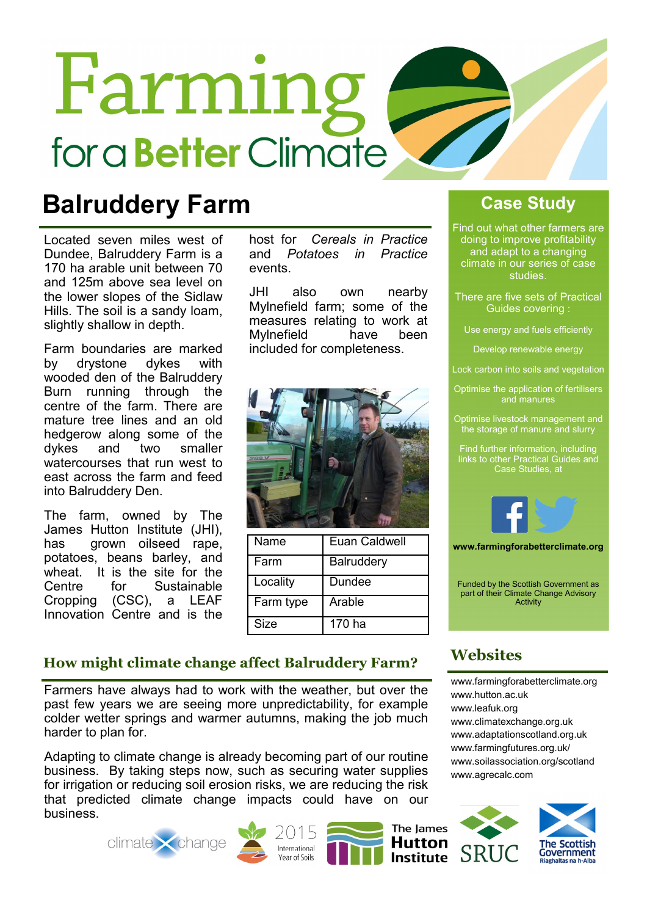# Farming for a **Better** Climate

### Balruddery Farm

Located seven miles west of Dundee, Balruddery Farm is a 170 ha arable unit between 70 and 125m above sea level on the lower slopes of the Sidlaw Hills. The soil is a sandy loam, slightly shallow in depth.

Farm boundaries are marked by drystone dykes with wooded den of the Balruddery Burn running through the centre of the farm. There are mature tree lines and an old hedgerow along some of the dykes and two smaller watercourses that run west to east across the farm and feed into Balruddery Den.

The farm, owned by The James Hutton Institute (JHI), has grown oilseed rape, potatoes, beans barley, and wheat. It is the site for the Centre for Sustainable Cropping (CSC), a LEAF Innovation Centre and is the

host for Cereals in Practice and Potatoes in Practice events.

JHI also own nearby Mylnefield farm; some of the measures relating to work at Mylnefield have been included for completeness.



| Name      | Euan Caldwell     |
|-----------|-------------------|
| l Farm    | <b>Balruddery</b> |
| Locality  | Dundee            |
| Farm type | Arable            |
| Size      | 170 ha            |

#### Case Study

Find out what other farmers are doing to improve profitability and adapt to a changing climate in our series of case studies.

There are five sets of Practical Guides covering :

Use energy and fuels efficiently

Develop renewable energy

Lock carbon into soils and vegetation

Optimise the application of fertilisers and manures

Optimise livestock management and the storage of manure and slurry

Find further information, including links to other Practical Guides and Case Studies, at



www.farmingforabetterclimate.org

Funded by the Scottish Government as part of their Climate Change Advisory Activity

#### How might climate change affect Balruddery Farm?

Farmers have always had to work with the weather, but over the past few years we are seeing more unpredictability, for example colder wetter springs and warmer autumns, making the job much harder to plan for.

Adapting to climate change is already becoming part of our routine business. By taking steps now, such as securing water supplies for irrigation or reducing soil erosion risks, we are reducing the risk that predicted climate change impacts could have on our business.







The lames

**Institute** 

#### **Websites**

www.farmingforabetterclimate.org www.hutton.ac.uk www.leafuk.org www.climatexchange.org.uk www.adaptationscotland.org.uk www.farmingfutures.org.uk/ www.soilassociation.org/scotland www.agrecalc.com